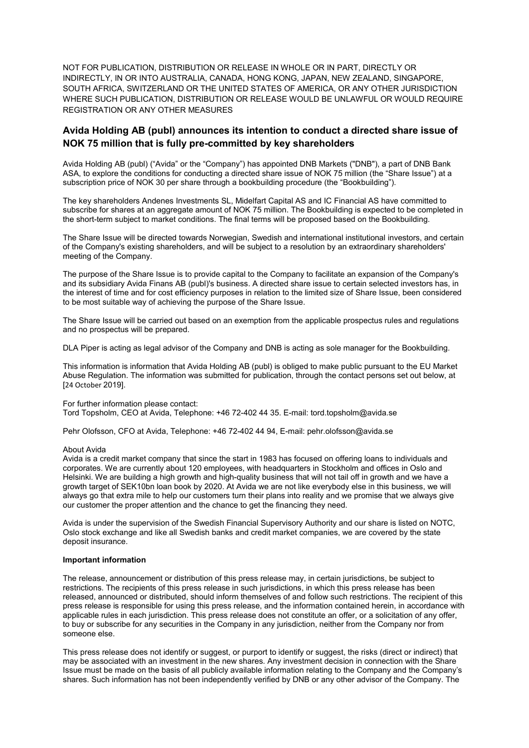NOT FOR PUBLICATION, DISTRIBUTION OR RELEASE IN WHOLE OR IN PART, DIRECTLY OR INDIRECTLY, IN OR INTO AUSTRALIA, CANADA, HONG KONG, JAPAN, NEW ZEALAND, SINGAPORE, SOUTH AFRICA, SWITZERLAND OR THE UNITED STATES OF AMERICA, OR ANY OTHER JURISDICTION WHERE SUCH PUBLICATION, DISTRIBUTION OR RELEASE WOULD BE UNLAWFUL OR WOULD REQUIRE REGISTRATION OR ANY OTHER MEASURES

# **Avida Holding AB (publ) announces its intention to conduct a directed share issue of NOK 75 million that is fully pre-committed by key shareholders**

Avida Holding AB (publ) ("Avida" or the "Company") has appointed DNB Markets ("DNB"), a part of DNB Bank ASA, to explore the conditions for conducting a directed share issue of NOK 75 million (the "Share Issue") at a subscription price of NOK 30 per share through a bookbuilding procedure (the "Bookbuilding").

The key shareholders Andenes Investments SL, Midelfart Capital AS and IC Financial AS have committed to subscribe for shares at an aggregate amount of NOK 75 million. The Bookbuilding is expected to be completed in the short-term subject to market conditions. The final terms will be proposed based on the Bookbuilding.

The Share Issue will be directed towards Norwegian, Swedish and international institutional investors, and certain of the Company's existing shareholders, and will be subject to a resolution by an extraordinary shareholders' meeting of the Company.

The purpose of the Share Issue is to provide capital to the Company to facilitate an expansion of the Company's and its subsidiary Avida Finans AB (publ)'s business. A directed share issue to certain selected investors has, in the interest of time and for cost efficiency purposes in relation to the limited size of Share Issue, been considered to be most suitable way of achieving the purpose of the Share Issue.

The Share Issue will be carried out based on an exemption from the applicable prospectus rules and regulations and no prospectus will be prepared.

DLA Piper is acting as legal advisor of the Company and DNB is acting as sole manager for the Bookbuilding.

This information is information that Avida Holding AB (publ) is obliged to make public pursuant to the EU Market Abuse Regulation. The information was submitted for publication, through the contact persons set out below, at [24 October 2019].

#### For further information please contact: Tord Topsholm, CEO at Avida, Telephone: +46 72-402 44 35. E-mail: tord.topsholm@avida.se

Pehr Olofsson, CFO at Avida, Telephone: +46 72-402 44 94, E-mail: pehr.olofsson@avida.se

## About Avida

Avida is a credit market company that since the start in 1983 has focused on offering loans to individuals and corporates. We are currently about 120 employees, with headquarters in Stockholm and offices in Oslo and Helsinki. We are building a high growth and high-quality business that will not tail off in growth and we have a growth target of SEK10bn loan book by 2020. At Avida we are not like everybody else in this business, we will always go that extra mile to help our customers turn their plans into reality and we promise that we always give our customer the proper attention and the chance to get the financing they need.

Avida is under the supervision of the Swedish Financial Supervisory Authority and our share is listed on NOTC, Oslo stock exchange and like all Swedish banks and credit market companies, we are covered by the state deposit insurance.

## **Important information**

The release, announcement or distribution of this press release may, in certain jurisdictions, be subject to restrictions. The recipients of this press release in such jurisdictions, in which this press release has been released, announced or distributed, should inform themselves of and follow such restrictions. The recipient of this press release is responsible for using this press release, and the information contained herein, in accordance with applicable rules in each jurisdiction. This press release does not constitute an offer, or a solicitation of any offer, to buy or subscribe for any securities in the Company in any jurisdiction, neither from the Company nor from someone else.

This press release does not identify or suggest, or purport to identify or suggest, the risks (direct or indirect) that may be associated with an investment in the new shares. Any investment decision in connection with the Share Issue must be made on the basis of all publicly available information relating to the Company and the Company's shares. Such information has not been independently verified by DNB or any other advisor of the Company. The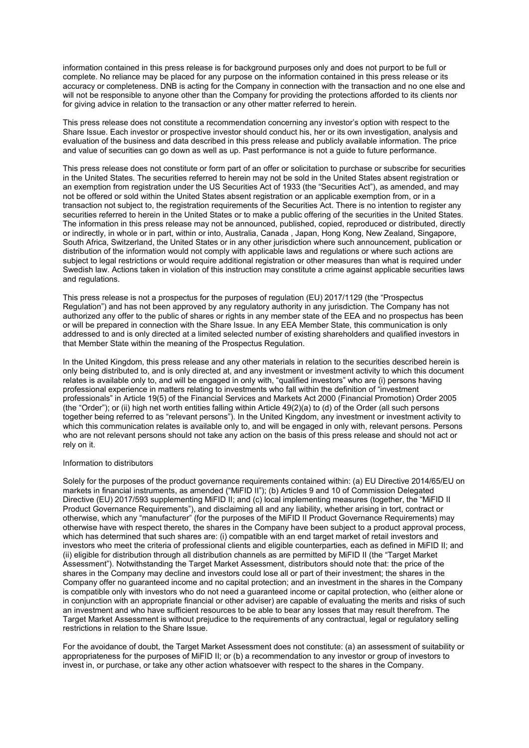information contained in this press release is for background purposes only and does not purport to be full or complete. No reliance may be placed for any purpose on the information contained in this press release or its accuracy or completeness. DNB is acting for the Company in connection with the transaction and no one else and will not be responsible to anyone other than the Company for providing the protections afforded to its clients nor for giving advice in relation to the transaction or any other matter referred to herein.

This press release does not constitute a recommendation concerning any investor's option with respect to the Share Issue. Each investor or prospective investor should conduct his, her or its own investigation, analysis and evaluation of the business and data described in this press release and publicly available information. The price and value of securities can go down as well as up. Past performance is not a guide to future performance.

This press release does not constitute or form part of an offer or solicitation to purchase or subscribe for securities in the United States. The securities referred to herein may not be sold in the United States absent registration or an exemption from registration under the US Securities Act of 1933 (the "Securities Act"), as amended, and may not be offered or sold within the United States absent registration or an applicable exemption from, or in a transaction not subject to, the registration requirements of the Securities Act. There is no intention to register any securities referred to herein in the United States or to make a public offering of the securities in the United States. The information in this press release may not be announced, published, copied, reproduced or distributed, directly or indirectly, in whole or in part, within or into, Australia, Canada , Japan, Hong Kong, New Zealand, Singapore, South Africa, Switzerland, the United States or in any other jurisdiction where such announcement, publication or distribution of the information would not comply with applicable laws and regulations or where such actions are subject to legal restrictions or would require additional registration or other measures than what is required under Swedish law. Actions taken in violation of this instruction may constitute a crime against applicable securities laws and regulations.

This press release is not a prospectus for the purposes of regulation (EU) 2017/1129 (the "Prospectus Regulation") and has not been approved by any regulatory authority in any jurisdiction. The Company has not authorized any offer to the public of shares or rights in any member state of the EEA and no prospectus has been or will be prepared in connection with the Share Issue. In any EEA Member State, this communication is only addressed to and is only directed at a limited selected number of existing shareholders and qualified investors in that Member State within the meaning of the Prospectus Regulation.

In the United Kingdom, this press release and any other materials in relation to the securities described herein is only being distributed to, and is only directed at, and any investment or investment activity to which this document relates is available only to, and will be engaged in only with, "qualified investors" who are (i) persons having professional experience in matters relating to investments who fall within the definition of "investment professionals" in Article 19(5) of the Financial Services and Markets Act 2000 (Financial Promotion) Order 2005 (the "Order"); or (ii) high net worth entities falling within Article 49(2)(a) to (d) of the Order (all such persons together being referred to as "relevant persons"). In the United Kingdom, any investment or investment activity to which this communication relates is available only to, and will be engaged in only with, relevant persons. Persons who are not relevant persons should not take any action on the basis of this press release and should not act or rely on it.

## Information to distributors

Solely for the purposes of the product governance requirements contained within: (a) EU Directive 2014/65/EU on markets in financial instruments, as amended ("MiFID II"); (b) Articles 9 and 10 of Commission Delegated Directive (EU) 2017/593 supplementing MiFID II; and (c) local implementing measures (together, the "MiFID II Product Governance Requirements"), and disclaiming all and any liability, whether arising in tort, contract or otherwise, which any "manufacturer" (for the purposes of the MiFID II Product Governance Requirements) may otherwise have with respect thereto, the shares in the Company have been subject to a product approval process, which has determined that such shares are: (i) compatible with an end target market of retail investors and investors who meet the criteria of professional clients and eligible counterparties, each as defined in MiFID II; and (ii) eligible for distribution through all distribution channels as are permitted by MiFID II (the "Target Market Assessment"). Notwithstanding the Target Market Assessment, distributors should note that: the price of the shares in the Company may decline and investors could lose all or part of their investment; the shares in the Company offer no guaranteed income and no capital protection; and an investment in the shares in the Company is compatible only with investors who do not need a guaranteed income or capital protection, who (either alone or in conjunction with an appropriate financial or other adviser) are capable of evaluating the merits and risks of such an investment and who have sufficient resources to be able to bear any losses that may result therefrom. The Target Market Assessment is without prejudice to the requirements of any contractual, legal or regulatory selling restrictions in relation to the Share Issue.

For the avoidance of doubt, the Target Market Assessment does not constitute: (a) an assessment of suitability or appropriateness for the purposes of MiFID II; or (b) a recommendation to any investor or group of investors to invest in, or purchase, or take any other action whatsoever with respect to the shares in the Company.